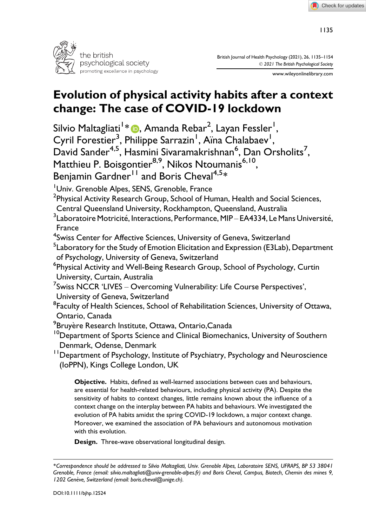

British Journal of Health Psychology (2021), 26, 1135–1154 © 2021 The British Psychological Society

www.wileyonlinelibrary.com

# Evolution of physical activity habits after a context change: The case of COVID-19 lockdown

Silvio Maltagliati<sup>1</sup>\* <mark>(b</mark>. Amanda Rebar<sup>2</sup>, Layan Fessler<sup>1</sup>, Cyril Forestier<sup>3</sup>, Philippe Sarrazin<sup>1</sup>, Aïna Chalabaev<sup>1</sup>, David Sander<sup>4,5</sup>, Hasmini Sivaramakrishnan<sup>6</sup>, Dan Orsholits<sup>7</sup>, Matthieu P. Boisgontier<sup>8,9</sup>, Nikos Ntoumanis<sup>6,10</sup>,

Benjamin Gardner<sup>11</sup> and Boris Cheval<sup>4,5\*</sup>

Univ. Grenoble Alpes, SENS, Grenoble, France

- $^{\sf 2}$ Physical Activity Research Group, School of Human, Health and Social Sciences,
- Central Queensland University, Rockhampton, Queensland, Australia

 $^3$ Laboratoire Motricité, Interactions, Performance, MIP – EA4334, Le Mans Université, France

<sup>4</sup>Swiss Center for Affective Sciences, University of Geneva, Switzerland

 $^{\mathsf{5}}$ Laboratory for the Study of Emotion Elicitation and Expression (E3Lab), Department of Psychology, University of Geneva, Switzerland

6 Physical Activity and Well-Being Research Group, School of Psychology, Curtin University, Curtain, Australia

 $^7$ Swiss NCCR 'LIVES – Overcoming Vulnerability: Life Course Perspectives', University of Geneva, Switzerland

 $^8$ Faculty of Health Sciences, School of Rehabilitation Sciences, University of Ottawa, Ontario, Canada

<sup>9</sup>Bruyère Research Institute, Ottawa, Ontario,Canada

<sup>10</sup>Department of Sports Science and Clinical Biomechanics, University of Southern Denmark, Odense, Denmark

<sup>11</sup> Department of Psychology, Institute of Psychiatry, Psychology and Neuroscience (IoPPN), Kings College London, UK

Objective. Habits, defined as well-learned associations between cues and behaviours, are essential for health-related behaviours, including physical activity (PA). Despite the sensitivity of habits to context changes, little remains known about the influence of a context change on the interplay between PA habits and behaviours. We investigated the evolution of PA habits amidst the spring COVID-19 lockdown, a major context change. Moreover, we examined the association of PA behaviours and autonomous motivation with this evolution.

Design. Three-wave observational longitudinal design.

<sup>\*</sup>Correspondence should be addressed to Silvio Maltagliati, Univ. Grenoble Alpes, Laboratoire SENS, UFRAPS, BP 53 38041 Grenoble, France (email: [silvio.maltagliati@univ-grenoble-alpes.fr\)](mailto:silvio.maltagliati@univ-grenoble-alpes.fr) and Boris Cheval, Campus, Biotech, Chemin des mines 9, 1202 Genève, Switzerland (email: [boris.cheval@unige.ch](mailto:boris.cheval@unige.ch)).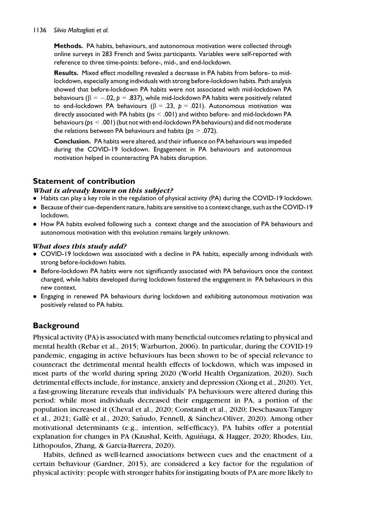#### 1136 Silvio Maltagliati et al.

Methods. PA habits, behaviours, and autonomous motivation were collected through online surveys in 283 French and Swiss participants. Variables were self-reported with reference to three time-points: before-, mid-, and end-lockdown.

Results. Mixed effect modelling revealed a decrease in PA habits from before- to midlockdown, especially among individuals with strong before-lockdown habits. Path analysis showed that before-lockdown PA habits were not associated with mid-lockdown PA behaviours ( $\beta = -.02$ ,  $p = .837$ ), while mid-lockdown PA habits were positively related to end-lockdown PA behaviours ( $\beta = .23$ ,  $p = .021$ ). Autonomous motivation was directly associated with PA habits ( $ps < .001$ ) and withto before- and mid-lockdown PA behaviours (ps < .001) (but not with end-lockdown PA behaviours) and did not moderate the relations between PA behaviours and habits ( $ps > .072$ ).

Conclusion. PA habits were altered, and their influence on PA behaviours was impeded during the COVID-19 lockdown. Engagement in PA behaviours and autonomous motivation helped in counteracting PA habits disruption.

# Statement of contribution

## What is already known on this subject?

- Habits can play a key role in the regulation of physical activity (PA) during the COVID-19 lockdown.
- Because of their cue-dependent nature, habits are sensitive to a context change, such as the COVID-19 lockdown.
- How PA habits evolved following such a context change and the association of PA behaviours and autonomous motivation with this evolution remains largely unknown.

## What does this study add?

- COVID-19 lockdown was associated with a decline in PA habits, especially among individuals with strong before-lockdown habits.
- Before-lockdown PA habits were not significantly associated with PA behaviours once the context changed, while habits developed during lockdown fostered the engagement in PA behaviours in this new context.
- Engaging in renewed PA behaviours during lockdown and exhibiting autonomous motivation was positively related to PA habits.

# **Background**

Physical activity (PA) is associated with many beneficial outcomes relating to physical and mental health (Rebar et al., 2015; Warburton, 2006). In particular, during the COVID-19 pandemic, engaging in active behaviours has been shown to be of special relevance to counteract the detrimental mental health effects of lockdown, which was imposed in most parts of the world during spring 2020 (World Health Organization, 2020). Such detrimental effects include, for instance, anxiety and depression (Xiong et al., 2020). Yet, a fast-growing literature reveals that individuals' PA behaviours were altered during this period: while most individuals decreased their engagement in PA, a portion of the population increased it (Cheval et al., 2020; Constandt et al., 2020; Deschasaux-Tanguy et al., 2021; Gallè et al., 2020; Sañudo, Fennell, & Sánchez-Oliver, 2020). Among other motivational determinants (e.g., intention, self-efficacy), PA habits offer a potential explanation for changes in PA (Kaushal, Keith, Aguinaga, & Hagger, 2020; Rhodes, Liu, ~ Lithopoulos, Zhang, & Garcia-Barrera, 2020).

Habits, defined as well-learned associations between cues and the enactment of a certain behaviour (Gardner, 2015), are considered a key factor for the regulation of physical activity: people with stronger habits for instigating bouts of PA are more likely to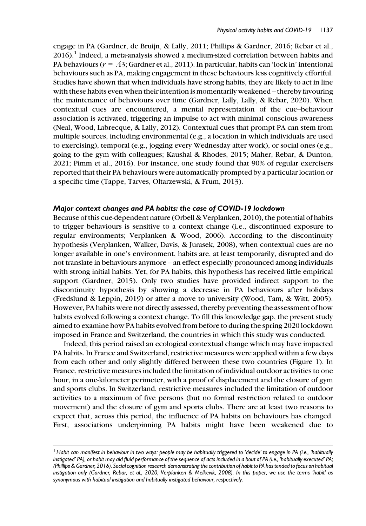engage in PA (Gardner, de Bruijn, & Lally, 2011; Phillips & Gardner, 2016; Rebar et al.,  $2016$ .<sup>1</sup> Indeed, a meta-analysis showed a medium-sized correlation between habits and PA behaviours ( $r = .43$ ; Gardner et al., 2011). In particular, habits can 'lock in' intentional behaviours such as PA, making engagement in these behaviours less cognitively effortful. Studies have shown that when individuals have strong habits, they are likely to act in line with these habits even when their intention is momentarily weakened – thereby favouring the maintenance of behaviours over time (Gardner, Lally, Lally, & Rebar, 2020). When contextual cues are encountered, a mental representation of the cue–behaviour association is activated, triggering an impulse to act with minimal conscious awareness (Neal, Wood, Labrecque, & Lally, 2012). Contextual cues that prompt PA can stem from multiple sources, including environmental (e.g., a location in which individuals are used to exercising), temporal (e.g., jogging every Wednesday after work), or social ones (e.g., going to the gym with colleagues; Kaushal & Rhodes, 2015; Maher, Rebar, & Dunton, 2021; Pimm et al., 2016). For instance, one study found that 90% of regular exercisers reported that their PA behaviours were automatically prompted by a particular location or a specific time (Tappe, Tarves, Oltarzewski, & Frum, 2013).

#### Major context changes and PA habits: the case of COVID-19 lockdown

Because of this cue-dependent nature (Orbell & Verplanken, 2010), the potential of habits to trigger behaviours is sensitive to a context change (i.e., discontinued exposure to regular environments; Verplanken & Wood, 2006). According to the discontinuity hypothesis (Verplanken, Walker, Davis, & Jurasek, 2008), when contextual cues are no longer available in one's environment, habits are, at least temporarily, disrupted and do not translate in behaviours anymore – an effect especially pronounced among individuals with strong initial habits. Yet, for PA habits, this hypothesis has received little empirical support (Gardner, 2015). Only two studies have provided indirect support to the discontinuity hypothesis by showing a decrease in PA behaviours after holidays (Fredslund & Leppin, 2019) or after a move to university (Wood, Tam, & Witt, 2005). However, PA habits were not directly assessed, thereby preventing the assessment of how habits evolved following a context change. To fill this knowledge gap, the present study aimed to examine how PA habits evolved from before to during the spring 2020 lockdown imposed in France and Switzerland, the countries in which this study was conducted.

Indeed, this period raised an ecological contextual change which may have impacted PA habits. In France and Switzerland, restrictive measures were applied within a few days from each other and only slightly differed between these two countries (Figure 1). In France, restrictive measures included the limitation of individual outdoor activities to one hour, in a one-kilometer perimeter, with a proof of displacement and the closure of gym and sports clubs. In Switzerland, restrictive measures included the limitation of outdoor activities to a maximum of five persons (but no formal restriction related to outdoor movement) and the closure of gym and sports clubs. There are at least two reasons to expect that, across this period, the influence of PA habits on behaviours has changed. First, associations underpinning PA habits might have been weakened due to

 $^1$  Habit can manifest in behaviour in two ways: people may be habitually triggered to 'decide' to engage in PA (i.e., 'habitually instigated' PA), or habit may aid fluid performance of the sequence of acts included in a bout of PA (i.e., 'habitually executed' PA; (Phillips & Gardner, 2016). Social cognition research demonstrating the contribution of habit to PA has tended to focus on habitual instigation only (Gardner, Rebar, et al., 2020; Verplanken & Melkevik, 2008). In this paper, we use the terms 'habit' as synonymous with habitual instigation and habitually instigated behaviour, respectively.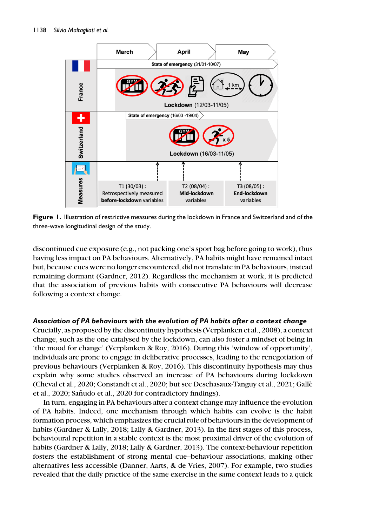

Figure 1. Illustration of restrictive measures during the lockdown in France and Switzerland and of the three-wave longitudinal design of the study.

discontinued cue exposure (e.g., not packing one's sport bag before going to work), thus having less impact on PA behaviours. Alternatively, PA habits might have remained intact but, because cues were no longer encountered, did not translate in PA behaviours, instead remaining dormant (Gardner, 2012). Regardless the mechanism at work, it is predicted that the association of previous habits with consecutive PA behaviours will decrease following a context change.

## Association of PA behaviours with the evolution of PA habits after a context change

Crucially, as proposed by the discontinuity hypothesis (Verplanken et al., 2008), a context change, such as the one catalysed by the lockdown, can also foster a mindset of being in 'the mood for change' (Verplanken & Roy, 2016). During this 'window of opportunity', individuals are prone to engage in deliberative processes, leading to the renegotiation of previous behaviours (Verplanken & Roy, 2016). This discontinuity hypothesis may thus explain why some studies observed an increase of PA behaviours during lockdown (Cheval et al., 2020; Constandt et al., 2020; but see Deschasaux-Tanguy et al., 2021; Galle et al., 2020; Sañudo et al., 2020 for contradictory findings).

In turn, engaging in PA behaviours after a context change may influence the evolution of PA habits. Indeed, one mechanism through which habits can evolve is the habit formation process, which emphasizes the crucial role of behaviours in the development of habits (Gardner & Lally, 2018; Lally & Gardner, 2013). In the first stages of this process, behavioural repetition in a stable context is the most proximal driver of the evolution of habits (Gardner & Lally, 2018; Lally & Gardner, 2013). The context-behaviour repetition fosters the establishment of strong mental cue–behaviour associations, making other alternatives less accessible (Danner, Aarts, & de Vries, 2007). For example, two studies revealed that the daily practice of the same exercise in the same context leads to a quick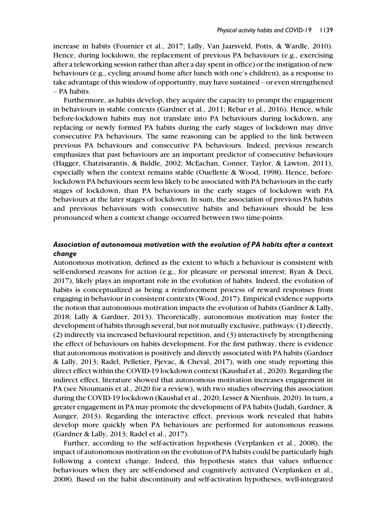increase in habits (Fournier et al., 2017; Lally, Van Jaarsveld, Potts, & Wardle, 2010). Hence, during lockdown, the replacement of previous PA behaviours (e.g., exercising after a teleworking session rather than after a day spent in office) or the instigation of new behaviours (e.g., cycling around home after lunch with one's children), as a response to take advantage of this window of opportunity, may have sustained – or even strengthened – PA habits.

Furthermore, as habits develop, they acquire the capacity to prompt the engagement in behaviours in stable contexts (Gardner et al., 2011; Rebar et al., 2016). Hence, while before-lockdown habits may not translate into PA behaviours during lockdown, any replacing or newly formed PA habits during the early stages of lockdown may drive consecutive PA behaviours. The same reasoning can be applied to the link between previous PA behaviours and consecutive PA behaviours. Indeed, previous research emphasizes that past behaviours are an important predictor of consecutive behaviours (Hagger, Chatzisarantis, & Biddle, 2002; McEachan, Conner, Taylor, & Lawton, 2011), especially when the context remains stable (Ouellette & Wood, 1998). Hence, beforelockdown PA behaviours seem less likely to be associated with PA behaviours in the early stages of lockdown, than PA behaviours in the early stages of lockdown with PA behaviours at the later stages of lockdown. In sum, the association of previous PA habits and previous behaviours with consecutive habits and behaviours should be less pronounced when a context change occurred between two time-points.

## Association of autonomous motivation with the evolution of PA habits after a context change

Autonomous motivation, defined as the extent to which a behaviour is consistent with self-endorsed reasons for action (e.g., for pleasure or personal interest; Ryan & Deci, 2017), likely plays an important role in the evolution of habits. Indeed, the evolution of habits is conceptualized as being a reinforcement process of reward responses from engaging in behaviour in consistent contexts (Wood, 2017). Empirical evidence supports the notion that autonomous motivation impacts the evolution of habits (Gardner & Lally, 2018; Lally & Gardner, 2013). Theoretically, autonomous motivation may foster the development of habits through several, but not mutually exclusive, pathways: (1) directly, (2) indirectly via increased behavioural repetition, and (3) interactively by strengthening the effect of behaviours on habits development. For the first pathway, there is evidence that autonomous motivation is positively and directly associated with PA habits (Gardner & Lally, 2013; Radel, Pelletier, Pjevac, & Cheval, 2017), with one study reporting this direct effect within the COVID-19 lockdown context (Kaushal et al., 2020). Regarding the indirect effect, literature showed that autonomous motivation increases engagement in PA (see Ntoumanis et al., 2020 for a review), with two studies observing this association during the COVID-19 lockdown (Kaushal et al., 2020; Lesser & Nienhuis, 2020). In turn, a greater engagement in PA may promote the development of PA habits (Judah, Gardner, & Aunger, 2013). Regarding the interactive effect, previous work revealed that habits develop more quickly when PA behaviours are performed for autonomous reasons (Gardner & Lally, 2013; Radel et al., 2017).

Further, according to the self-activation hypothesis (Verplanken et al., 2008), the impact of autonomous motivation on the evolution of PA habits could be particularly high following a context change. Indeed, this hypothesis states that values influence behaviours when they are self-endorsed and cognitively activated (Verplanken et al., 2008). Based on the habit discontinuity and self-activation hypotheses, well-integrated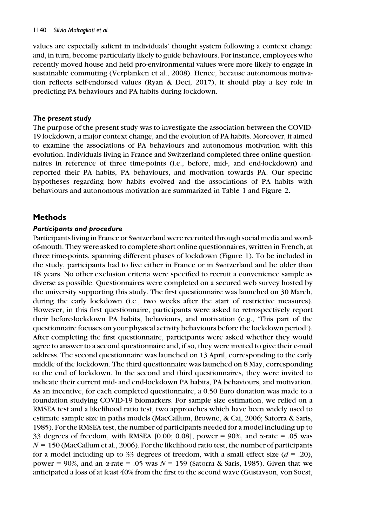values are especially salient in individuals' thought system following a context change and, in turn, become particularly likely to guide behaviours. For instance, employees who recently moved house and held pro-environmental values were more likely to engage in sustainable commuting (Verplanken et al., 2008). Hence, because autonomous motivation reflects self-endorsed values (Ryan & Deci, 2017), it should play a key role in predicting PA behaviours and PA habits during lockdown.

## The present study

The purpose of the present study was to investigate the association between the COVID-19 lockdown, a major context change, and the evolution of PA habits. Moreover, it aimed to examine the associations of PA behaviours and autonomous motivation with this evolution. Individuals living in France and Switzerland completed three online questionnaires in reference of three time-points (i.e., before, mid-, and end-lockdown) and reported their PA habits, PA behaviours, and motivation towards PA. Our specific hypotheses regarding how habits evolved and the associations of PA habits with behaviours and autonomous motivation are summarized in Table 1 and Figure 2.

# Methods

## Participants and procedure

Participants living in France or Switzerland were recruited through social media and wordof-mouth. They were asked to complete short online questionnaires, written in French, at three time-points, spanning different phases of lockdown (Figure 1). To be included in the study, participants had to live either in France or in Switzerland and be older than 18 years. No other exclusion criteria were specified to recruit a convenience sample as diverse as possible. Questionnaires were completed on a secured web survey hosted by the university supporting this study. The first questionnaire was launched on 30 March, during the early lockdown (i.e., two weeks after the start of restrictive measures). However, in this first questionnaire, participants were asked to retrospectively report their before-lockdown PA habits, behaviours, and motivation (e.g., 'This part of the questionnaire focuses on your physical activity behaviours before the lockdown period'). After completing the first questionnaire, participants were asked whether they would agree to answer to a second questionnaire and, if so, they were invited to give their e-mail address. The second questionnaire was launched on 13 April, corresponding to the early middle of the lockdown. The third questionnaire was launched on 8 May, corresponding to the end of lockdown. In the second and third questionnaires, they were invited to indicate their current mid- and end-lockdown PA habits, PA behaviours, and motivation. As an incentive, for each completed questionnaire, a 0.50 Euro donation was made to a foundation studying COVID-19 biomarkers. For sample size estimation, we relied on a RMSEA test and a likelihood ratio test, two approaches which have been widely used to estimate sample size in paths models (MacCallum, Browne, & Cai, 2006; Satorra & Saris, 1985). For the RMSEA test, the number of participants needed for a model including up to 33 degrees of freedom, with RMSEA [0.00; 0.08], power = 90%, and  $\alpha$ -rate = .05 was  $N = 150$  (MacCallum et al., 2006). For the likelihood ratio test, the number of participants for a model including up to 33 degrees of freedom, with a small effect size  $(d = .20)$ , power = 90%, and an  $\alpha$ -rate = .05 was  $N = 159$  (Satorra & Saris, 1985). Given that we anticipated a loss of at least 40% from the first to the second wave (Gustavson, von Soest,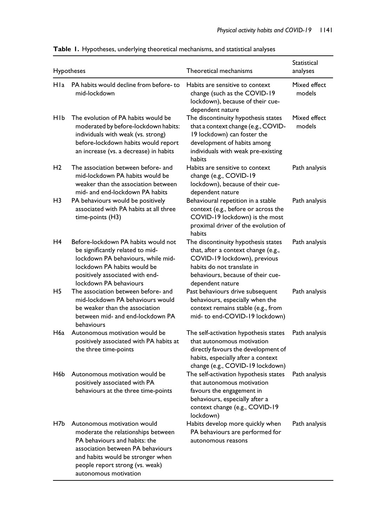| Hypotheses     |                                                                                                                                                                                                                 | Theoretical mechanisms                                                                                                                                                                            | Statistical<br>analyses |
|----------------|-----------------------------------------------------------------------------------------------------------------------------------------------------------------------------------------------------------------|---------------------------------------------------------------------------------------------------------------------------------------------------------------------------------------------------|-------------------------|
| Hla            | PA habits would decline from before-to<br>mid-lockdown                                                                                                                                                          | Habits are sensitive to context<br>change (such as the COVID-19<br>lockdown), because of their cue-<br>dependent nature                                                                           | Mixed effect<br>models  |
| HIP            | The evolution of PA habits would be<br>moderated by before-lockdown habits:<br>individuals with weak (vs. strong)<br>before-lockdown habits would report<br>an increase (vs. a decrease) in habits              | The discontinuity hypothesis states<br>that a context change (e.g., COVID-<br>19 lockdown) can foster the<br>development of habits among<br>individuals with weak pre-existing<br>habits          | Mixed effect<br>models  |
| H <sub>2</sub> | The association between before- and<br>mid-lockdown PA habits would be<br>weaker than the association between<br>mid- and end-lockdown PA habits                                                                | Habits are sensitive to context<br>change (e.g., COVID-19<br>lockdown), because of their cue-<br>dependent nature                                                                                 | Path analysis           |
| H3             | PA behaviours would be positively<br>associated with PA habits at all three<br>time-points (H3)                                                                                                                 | Behavioural repetition in a stable<br>context (e.g., before or across the<br>COVID-19 lockdown) is the most<br>proximal driver of the evolution of<br>habits                                      | Path analysis           |
| H4             | Before-lockdown PA habits would not<br>be significantly related to mid-<br>lockdown PA behaviours, while mid-<br>lockdown PA habits would be<br>positively associated with end-<br>lockdown PA behaviours       | The discontinuity hypothesis states<br>that, after a context change (e.g.,<br>COVID-19 lockdown), previous<br>habits do not translate in<br>behaviours, because of their cue-<br>dependent nature | Path analysis           |
| H5             | The association between before- and<br>mid-lockdown PA behaviours would<br>be weaker than the association<br>between mid- and end-lockdown PA<br>behaviours                                                     | Past behaviours drive subsequent<br>behaviours, especially when the<br>context remains stable (e.g., from<br>mid- to end-COVID-19 lockdown)                                                       | Path analysis           |
| H6a            | Autonomous motivation would be<br>positively associated with PA habits at<br>the three time-points                                                                                                              | The self-activation hypothesis states<br>that autonomous motivation<br>directly favours the development of<br>habits, especially after a context<br>change (e.g., COVID-19 lockdown)              | Path analysis           |
| H6b            | Autonomous motivation would be<br>positively associated with PA<br>behaviours at the three time-points                                                                                                          | The self-activation hypothesis states<br>that autonomous motivation<br>favours the engagement in<br>behaviours, especially after a<br>context change (e.g., COVID-19<br>lockdown)                 | Path analysis           |
| H7b            | Autonomous motivation would<br>moderate the relationships between<br>PA behaviours and habits: the<br>association between PA behaviours<br>and habits would be stronger when<br>people report strong (vs. weak) | Habits develop more quickly when<br>PA behaviours are performed for<br>autonomous reasons                                                                                                         | Path analysis           |

autonomous motivation

#### Table 1. Hypotheses, underlying theoretical mechanisms, and statistical analyses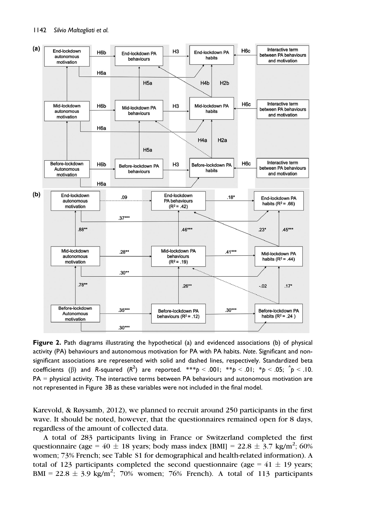

Figure 2. Path diagrams illustrating the hypothetical (a) and evidenced associations (b) of physical activity (PA) behaviours and autonomous motivation for PA with PA habits. Note. Significant and nonsignificant associations are represented with solid and dashed lines, respectively. Standardized beta coefficients ( $\beta$ ) and R-squared ( $R^2$ ) are reported. \*\*\* $p < .001;$  \*\* $p < .01;$  \* $p < .05;$  ^ $p < .10.$ PA = physical activity. The interactive terms between PA behaviours and autonomous motivation are not represented in Figure 3B as these variables were not included in the final model.

Karevold, & Røysamb, 2012), we planned to recruit around 250 participants in the first wave. It should be noted, however, that the questionnaires remained open for 8 days, regardless of the amount of collected data.

A total of 283 participants living in France or Switzerland completed the first questionnaire (age =  $40 \pm 18$  years; body mass index [BMI] =  $22.8 \pm 3.7$  kg/m<sup>2</sup>; 60% women; 73% French; see Table S1 for demographical and health-related information). A total of 123 participants completed the second questionnaire (age =  $41 \pm 19$  years;  $BMI = 22.8 \pm 3.9$  kg/m<sup>2</sup>; 70% women; 76% French). A total of 113 participants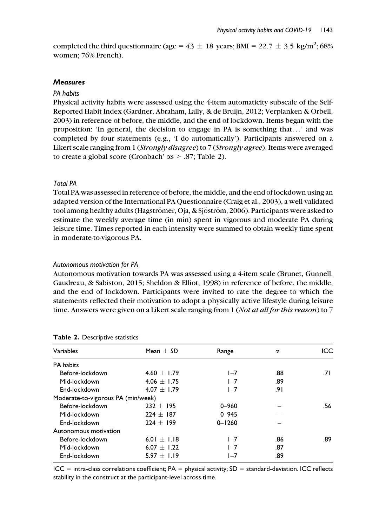completed the third questionnaire (age =  $43 \pm 18$  years; BMI =  $22.7 \pm 3.5$  kg/m<sup>2</sup>; 68% women; 76% French).

#### **Measures**

#### PA habits

Physical activity habits were assessed using the 4-item automaticity subscale of the Self-Reported Habit Index (Gardner, Abraham, Lally, & de Bruijn, 2012; Verplanken & Orbell, 2003) in reference of before, the middle, and the end of lockdown. Items began with the proposition: 'In general, the decision to engage in PA is something that...' and was completed by four statements (e.g., 'I do automatically'). Participants answered on a Likert scale ranging from 1 (Strongly disagree) to 7 (Strongly agree). Items were averaged to create a global score (Cronbach'  $\alpha s > .87$ ; Table 2).

## Total PA

Total PA was assessed in reference of before, the middle, and the end of lockdown using an adapted version of the International PA Questionnaire (Craig et al., 2003), a well-validated tool among healthy adults (Hagströmer, Oja, & Sjöström, 2006). Participants were asked to estimate the weekly average time (in min) spent in vigorous and moderate PA during leisure time. Times reported in each intensity were summed to obtain weekly time spent in moderate-to-vigorous PA.

#### Autonomous motivation for PA

Autonomous motivation towards PA was assessed using a 4-item scale (Brunet, Gunnell, Gaudreau, & Sabiston, 2015; Sheldon & Elliot, 1998) in reference of before, the middle, and the end of lockdown. Participants were invited to rate the degree to which the statements reflected their motivation to adopt a physically active lifestyle during leisure time. Answers were given on a Likert scale ranging from 1 (Not at all for this reason) to 7

| Variables                          | Mean $+$ SD     | Range      | α   | ICC. |
|------------------------------------|-----------------|------------|-----|------|
| PA habits                          |                 |            |     |      |
| Before-lockdown                    | $4.60 + 1.79$   | $I - 7$    | .88 | 7١.  |
| Mid-lockdown                       | 4.06 $\pm$ 1.75 | $I - 7$    | .89 |      |
| End-lockdown                       | $4.07 + 1.79$   | $1 - 7$    | 9۱. |      |
| Moderate-to-vigorous PA (min/week) |                 |            |     |      |
| Before-lockdown                    | $232 + 195$     | $0 - 960$  |     | .56  |
| Mid-lockdown                       | $224 + 187$     | $0 - 945$  |     |      |
| End-lockdown                       | $224 + 199$     | $0 - 1260$ |     |      |
| Autonomous motivation              |                 |            |     |      |
| Before-lockdown                    | $6.01 + 1.18$   | $I - 7$    | .86 | .89  |
| Mid-lockdown                       | $6.07 + 1.22$   | $I - 7$    | .87 |      |
| End-lockdown                       | 5.97 $\pm$ 1.19 | $I - 7$    | .89 |      |

#### Table 2. Descriptive statistics

 $ICC = intra-class correlations coefficient; PA = physical activity; SD = standard-deviation. ICC reflects$ stability in the construct at the participant-level across time.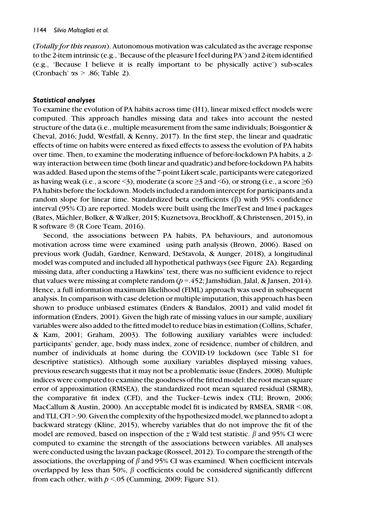(Totally for this reason). Autonomous motivation was calculated as the average response to the 2-item intrinsic (e.g., 'Because of the pleasure I feel during PA') and 2-item identified (e.g., 'Because I believe it is really important to be physically active') sub-scales (Cronbach'  $\alpha s$  > .86; Table 2).

#### Statistical analyses

To examine the evolution of PA habits across time (H1), linear mixed effect models were computed. This approach handles missing data and takes into account the nested structure of the data (i.e., multiple measurement from the same individuals; Boisgontier & Cheval, 2016; Judd, Westfall, & Kenny, 2017). In the first step, the linear and quadratic effects of time on habits were entered as fixed effects to assess the evolution of PA habits over time. Then, to examine the moderating influence of before-lockdown PA habits, a 2 way interaction between time (both linear and quadratic) and before-lockdown PA habits was added. Based upon the stems of the 7-point Likert scale, participants were categorized as having weak (i.e., a score  $\leq$ 3), moderate (a score  $\geq$ 3 and  $\leq$ 6), or strong (i.e., a score  $\geq$ 6) PA habits before the lockdown. Models included a random intercept for participants and a random slope for linear time. Standardized beta coefficients  $(\beta)$  with 95% confidence interval (95% CI) are reported. Models were built using the lmerTest and lme4 packages (Bates, Mächler, Bolker, & Walker, 2015; Kuznetsova, Brockhoff, & Christensen, 2015), in R software  $\mathcal{R}$  (R Core Team, 2016).

Second, the associations between PA habits, PA behaviours, and autonomous motivation across time were examined using path analysis (Brown, 2006). Based on previous work (Judah, Gardner, Kenward, DeStavola, & Aunger, 2018), a longitudinal model was computed and included all hypothetical pathways (see Figure 2A). Regarding missing data, after conducting a Hawkins' test, there was no sufficient evidence to reject that values were missing at complete random  $(p=.452;$  Jamshidian, Jalal, & Jansen, 2014). Hence, a full information maximum likelihood (FIML) approach was used in subsequent analysis. In comparison with case deletion or multiple imputation, this approach has been shown to produce unbiased estimates (Enders & Bandalos, 2001) and valid model fit information (Enders, 2001). Given the high rate of missing values in our sample, auxiliary variables were also added to the fitted model to reduce bias in estimation (Collins, Schafer, & Kam, 2001; Graham, 2003). The following auxiliary variables were included: participants' gender, age, body mass index, zone of residence, number of children, and number of individuals at home during the COVID-19 lockdown (see Table S1 for descriptive statistics). Although some auxiliary variables displayed missing values, previous research suggests that it may not be a problematic issue (Enders, 2008). Multiple indices were computed to examine the goodness of the fitted model: the root mean square error of approximation (RMSEA), the standardized root mean squared residual (SRMR), the comparative fit index (CFI), and the Tucker–Lewis index (TLI; Brown, 2006; MacCallum & Austin, 2000). An acceptable model fit is indicated by RMSEA, SRMR <.08, and TLI, CFI >.90. Given the complexity of the hypothesized model, we planned to adopt a backward strategy (Kline, 2015), whereby variables that do not improve the fit of the model are removed, based on inspection of the z Wald test statistic.  $\beta$  and 95% CI were computed to examine the strength of the associations between variables. All analyses were conducted using the lavaan package (Rosseel, 2012). To compare the strength of the associations, the overlapping of  $\beta$  and 95% CI was examined. When coefficient intervals overlapped by less than 50%,  $\beta$  coefficients could be considered significantly different from each other, with  $p \le 0.05$  (Cumming, 2009; Figure S1).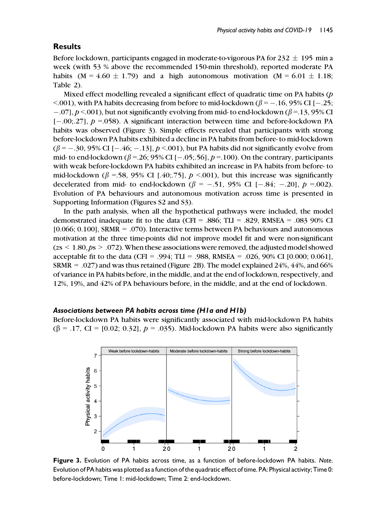## **Results**

Before lockdown, participants engaged in moderate-to-vigorous PA for  $232 \pm 195$  min a week (with 53 % above the recommended 150-min threshold), reported moderate PA habits (M = 4.60  $\pm$  1.79) and a high autonomous motivation (M = 6.01  $\pm$  1.18; Table 2).

Mixed effect modelling revealed a significant effect of quadratic time on PA habits  $(p)$  $\leq$  001), with PA habits decreasing from before to mid-lockdown ( $\beta$  = -.16, 95% CI [-.25;  $-0.07$ ,  $p < 0.01$ ), but not significantly evolving from mid- to end-lockdown ( $\beta = 13,95\%$  CI  $[-.00; .27]$ ,  $p = .058$ ). A significant interaction between time and before-lockdown PA habits was observed (Figure 3). Simple effects revealed that participants with strong before-lockdown PA habits exhibited a decline in PA habits from before- to mid-lockdown  $(\beta = -.30, 95\% \text{ CI } [-.46; -.13], p < .001)$ , but PA habits did not significantly evolve from mid- to end-lockdown ( $\beta$  =.26; 95% CI [-.05; 56],  $p$  =.100). On the contrary, participants with weak before-lockdown PA habits exhibited an increase in PA habits from before- to mid-lockdown ( $\beta$  =.58, 95% CI [.40;.75],  $p$  <.001), but this increase was significantly decelerated from mid- to end-lockdown ( $\beta$  = -.51, 95% CI [-.84; -.20],  $p$  =.002). Evolution of PA behaviours and autonomous motivation across time is presented in Supporting Information (Figures S2 and S3).

In the path analysis, when all the hypothetical pathways were included, the model demonstrated inadequate fit to the data (CFI = .886; TLI = .829, RMSEA = .083 90% CI [0.066; 0.100], SRMR = .070). Interactive terms between PA behaviours and autonomous motivation at the three time-points did not improve model fit and were non-significant  $(z \le 1.80, ps > .072)$ . When these associations were removed, the adjusted model showed acceptable fit to the data (CFI = .994; TLI = .988, RMSEA = .026, 90% CI [0.000; 0.061], SRMR  $= .027$ ) and was thus retained (Figure 2B). The model explained 24%, 44%, and 66% of variance in PA habits before, in the middle, and at the end of lockdown, respectively, and 12%, 19%, and 42% of PA behaviours before, in the middle, and at the end of lockdown.

#### Associations between PA habits across time (H1a and H1b)

Before-lockdown PA habits were significantly associated with mid-lockdown PA habits  $(\beta = .17, \text{ CI} = [0.02; 0.32], p = .035)$ . Mid-lockdown PA habits were also significantly



Figure 3. Evolution of PA habits across time, as a function of before-lockdown PA habits. Note. Evolution of PA habits was plotted as a function of the quadratic effect of time. PA: Physical activity; Time 0: before-lockdown; Time 1: mid-lockdown; Time 2: end-lockdown.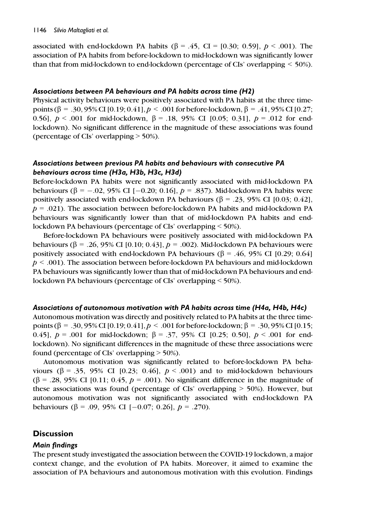#### 1146 Silvio Maltagliati et al.

associated with end-lockdown PA habits ( $\beta = .45$ , CI = [0.30; 0.59],  $p < .001$ ). The association of PA habits from before-lockdown to mid-lockdown was significantly lower than that from mid-lockdown to end-lockdown (percentage of CIs' overlapping < 50%).

#### Associations between PA behaviours and PA habits across time (H2)

Physical activity behaviours were positively associated with PA habits at the three timepoints ( $\beta = .30, 95\%$  CI [0.19; 0.41],  $p < .001$  for before-lockdown,  $\beta = .41, 95\%$  CI [0.27; 0.56],  $p < .001$  for mid-lockdown,  $\beta = .18, 95\%$  CI [0.05; 0.31],  $p = .012$  for endlockdown). No significant difference in the magnitude of these associations was found (percentage of CIs' overlapping > 50%).

## Associations between previous PA habits and behaviours with consecutive PA behaviours across time (H3a, H3b, H3c, H3d)

Before-lockdown PA habits were not significantly associated with mid-lockdown PA behaviours ( $\beta = -.02, 95\%$  CI [-0.20; 0.16],  $p = .837$ ). Mid-lockdown PA habits were positively associated with end-lockdown PA behaviours ( $\beta$  = .23, 95% CI [0.03; 0.42],  $p = .021$ ). The association between before-lockdown PA habits and mid-lockdown PA behaviours was significantly lower than that of mid-lockdown PA habits and endlockdown PA behaviours (percentage of CIs' overlapping < 50%).

Before-lockdown PA behaviours were positively associated with mid-lockdown PA behaviours ( $\beta = .26, 95\%$  CI [0.10; 0.43],  $p = .002$ ). Mid-lockdown PA behaviours were positively associated with end-lockdown PA behaviours ( $\beta$  = .46, 95% CI [0.29; 0.64]  $p < .001$ ). The association between before-lockdown PA behaviours and mid-lockdown PA behaviours was significantly lower than that of mid-lockdown PA behaviours and endlockdown PA behaviours (percentage of CIs' overlapping < 50%).

## Associations of autonomous motivation with PA habits across time (H4a, H4b, H4c)

Autonomous motivation was directly and positively related to PA habits at the three timepoints (β = .30, 95% CI [0.19; 0.41],  $p < .001$  for before-lockdown; β = .30, 95% CI [0.15; 0.45],  $p = .001$  for mid-lockdown;  $\beta = .37, 95\%$  CI [0.25; 0.50],  $p < .001$  for endlockdown). No significant differences in the magnitude of these three associations were found (percentage of CIs' overlapping > 50%).

Autonomous motivation was significantly related to before-lockdown PA behaviours ( $\beta = .35, 95\%$  CI [0.23; 0.46],  $p < .001$ ) and to mid-lockdown behaviours ( $\beta$  = .28, 95% CI [0.11; 0.45,  $p$  = .001). No significant difference in the magnitude of these associations was found (percentage of CIs' overlapping  $>$  50%). However, but autonomous motivation was not significantly associated with end-lockdown PA behaviours ( $\beta$  = .09, 95% CI [-0.07; 0.26],  $p$  = .270).

## **Discussion**

## Main findings

The present study investigated the association between the COVID-19 lockdown, a major context change, and the evolution of PA habits. Moreover, it aimed to examine the association of PA behaviours and autonomous motivation with this evolution. Findings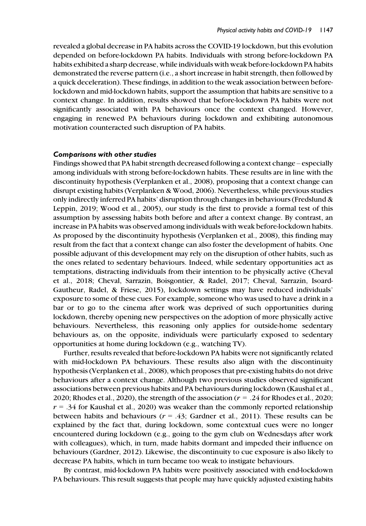revealed a global decrease in PA habits across the COVID-19 lockdown, but this evolution depended on before-lockdown PA habits. Individuals with strong before-lockdown PA habits exhibited a sharp decrease, while individuals with weak before-lockdown PA habits demonstrated the reverse pattern (i.e., a short increase in habit strength, then followed by a quick deceleration). These findings, in addition to the weak association between beforelockdown and mid-lockdown habits, support the assumption that habits are sensitive to a context change. In addition, results showed that before-lockdown PA habits were not significantly associated with PA behaviours once the context changed. However, engaging in renewed PA behaviours during lockdown and exhibiting autonomous motivation counteracted such disruption of PA habits.

#### Comparisons with other studies

Findings showed that PA habit strength decreased following a context change – especially among individuals with strong before-lockdown habits. These results are in line with the discontinuity hypothesis (Verplanken et al., 2008), proposing that a context change can disrupt existing habits (Verplanken & Wood, 2006). Nevertheless, while previous studies only indirectly inferred PA habits' disruption through changes in behaviours (Fredslund & Leppin, 2019; Wood et al., 2005), our study is the first to provide a formal test of this assumption by assessing habits both before and after a context change. By contrast, an increase in PA habits was observed among individuals with weak before-lockdown habits. As proposed by the discontinuity hypothesis (Verplanken et al., 2008), this finding may result from the fact that a context change can also foster the development of habits. One possible adjuvant of this development may rely on the disruption of other habits, such as the ones related to sedentary behaviours. Indeed, while sedentary opportunities act as temptations, distracting individuals from their intention to be physically active (Cheval et al., 2018; Cheval, Sarrazin, Boisgontier, & Radel, 2017; Cheval, Sarrazin, Isoard-Gautheur, Radel, & Friese, 2015), lockdown settings may have reduced individuals' exposure to some of these cues. For example, someone who was used to have a drink in a bar or to go to the cinema after work was deprived of such opportunities during lockdown, thereby opening new perspectives on the adoption of more physically active behaviours. Nevertheless, this reasoning only applies for outside-home sedentary behaviours as, on the opposite, individuals were particularly exposed to sedentary opportunities at home during lockdown (e.g., watching TV).

Further, results revealed that before-lockdown PA habits were not significantly related with mid-lockdown PA behaviours. These results also align with the discontinuity hypothesis (Verplanken et al., 2008), which proposes that pre-existing habits do not drive behaviours after a context change. Although two previous studies observed significant associations between previous habits and PA behaviours during lockdown (Kaushal et al., 2020; Rhodes et al., 2020), the strength of the association ( $r = .24$  for Rhodes et al., 2020;  $r = 0.34$  for Kaushal et al., 2020) was weaker than the commonly reported relationship between habits and behaviours ( $r = .43$ ; Gardner et al., 2011). These results can be explained by the fact that, during lockdown, some contextual cues were no longer encountered during lockdown (e.g., going to the gym club on Wednesdays after work with colleagues), which, in turn, made habits dormant and impeded their influence on behaviours (Gardner, 2012). Likewise, the discontinuity to cue exposure is also likely to decrease PA habits, which in turn became too weak to instigate behaviours.

By contrast, mid-lockdown PA habits were positively associated with end-lockdown PA behaviours. This result suggests that people may have quickly adjusted existing habits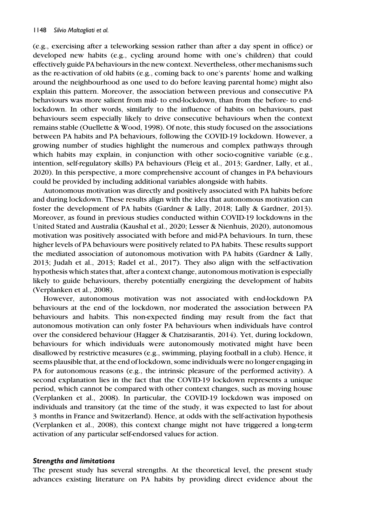(e.g., exercising after a teleworking session rather than after a day spent in office) or developed new habits (e.g., cycling around home with one's children) that could effectively guide PA behaviours in the new context. Nevertheless, other mechanisms such as the re-activation of old habits (e.g., coming back to one's parents' home and walking around the neighbourhood as one used to do before leaving parental home) might also explain this pattern. Moreover, the association between previous and consecutive PA behaviours was more salient from mid- to end-lockdown, than from the before- to endlockdown. In other words, similarly to the influence of habits on behaviours, past behaviours seem especially likely to drive consecutive behaviours when the context remains stable (Ouellette & Wood, 1998). Of note, this study focused on the associations between PA habits and PA behaviours, following the COVID-19 lockdown. However, a growing number of studies highlight the numerous and complex pathways through which habits may explain, in conjunction with other socio-cognitive variable (e.g., intention, self-regulatory skills) PA behaviours (Fleig et al., 2013; Gardner, Lally, et al., 2020). In this perspective, a more comprehensive account of changes in PA behaviours could be provided by including additional variables alongside with habits.

Autonomous motivation was directly and positively associated with PA habits before and during lockdown. These results align with the idea that autonomous motivation can foster the development of PA habits (Gardner & Lally, 2018; Lally & Gardner, 2013). Moreover, as found in previous studies conducted within COVID-19 lockdowns in the United Stated and Australia (Kaushal et al., 2020; Lesser & Nienhuis, 2020), autonomous motivation was positively associated with before and mid-PA behaviours. In turn, these higher levels of PA behaviours were positively related to PA habits. These results support the mediated association of autonomous motivation with PA habits (Gardner & Lally, 2013; Judah et al., 2013; Radel et al., 2017). They also align with the self-activation hypothesis which states that, after a context change, autonomous motivation is especially likely to guide behaviours, thereby potentially energizing the development of habits (Verplanken et al., 2008).

However, autonomous motivation was not associated with end-lockdown PA behaviours at the end of the lockdown, nor moderated the association between PA behaviours and habits. This non-expected finding may result from the fact that autonomous motivation can only foster PA behaviours when individuals have control over the considered behaviour (Hagger & Chatzisarantis, 2014). Yet, during lockdown, behaviours for which individuals were autonomously motivated might have been disallowed by restrictive measures (e.g., swimming, playing football in a club). Hence, it seems plausible that, at the end of lockdown, some individuals were no longer engaging in PA for autonomous reasons (e.g., the intrinsic pleasure of the performed activity). A second explanation lies in the fact that the COVID-19 lockdown represents a unique period, which cannot be compared with other context changes, such as moving house (Verplanken et al., 2008). In particular, the COVID-19 lockdown was imposed on individuals and transitory (at the time of the study, it was expected to last for about 3 months in France and Switzerland). Hence, at odds with the self-activation hypothesis (Verplanken et al., 2008), this context change might not have triggered a long-term activation of any particular self-endorsed values for action.

#### Strengths and limitations

The present study has several strengths. At the theoretical level, the present study advances existing literature on PA habits by providing direct evidence about the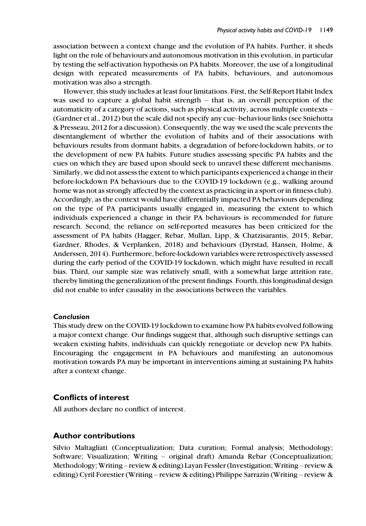association between a context change and the evolution of PA habits. Further, it sheds light on the role of behaviours and autonomous motivation in this evolution, in particular by testing the self-activation hypothesis on PA habits. Moreover, the use of a longitudinal design with repeated measurements of PA habits, behaviours, and autonomous motivation was also a strength.

However, this study includes at least four limitations. First, the Self-Report Habit Index was used to capture a global habit strength – that is, an overall perception of the automaticity of a category of actions, such as physical activity, across multiple contexts – (Gardner et al., 2012) but the scale did not specify any cue–behaviour links (see Sniehotta & Presseau, 2012 for a discussion). Consequently, the way we used the scale prevents the disentanglement of whether the evolution of habits and of their associations with behaviours results from dormant habits, a degradation of before-lockdown habits, or to the development of new PA habits. Future studies assessing specific PA habits and the cues on which they are based upon should seek to unravel these different mechanisms. Similarly, we did not assess the extent to which participants experienced a change in their before-lockdown PA behaviours due to the COVID-19 lockdown (e.g., walking around home was not as strongly affected by the context as practicing in a sport or in fitness club). Accordingly, as the context would have differentially impacted PA behaviours depending on the type of PA participants usually engaged in, measuring the extent to which individuals experienced a change in their PA behaviours is recommended for future research. Second, the reliance on self-reported measures has been criticized for the assessment of PA habits (Hagger, Rebar, Mullan, Lipp, & Chatzisarantis, 2015; Rebar, Gardner, Rhodes, & Verplanken, 2018) and behaviours (Dyrstad, Hansen, Holme, & Anderssen, 2014). Furthermore, before-lockdown variables were retrospectively assessed during the early period of the COVID-19 lockdown, which might have resulted in recall bias. Third, our sample size was relatively small, with a somewhat large attrition rate, thereby limiting the generalization of the present findings. Fourth, this longitudinal design did not enable to infer causality in the associations between the variables.

## Conclusion

This study drew on the COVID-19 lockdown to examine how PA habits evolved following a major context change. Our findings suggest that, although such disruptive settings can weaken existing habits, individuals can quickly renegotiate or develop new PA habits. Encouraging the engagement in PA behaviours and manifesting an autonomous motivation towards PA may be important in interventions aiming at sustaining PA habits after a context change.

## Conflicts of interest

All authors declare no conflict of interest.

## Author contributions

Silvio Maltagliati (Conceptualization; Data curation; Formal analysis; Methodology; Software; Visualization; Writing – original draft) Amanda Rebar (Conceptualization; Methodology; Writing – review & editing) Layan Fessler (Investigation; Writing – review & editing) Cyril Forestier (Writing – review & editing) Philippe Sarrazin (Writing – review &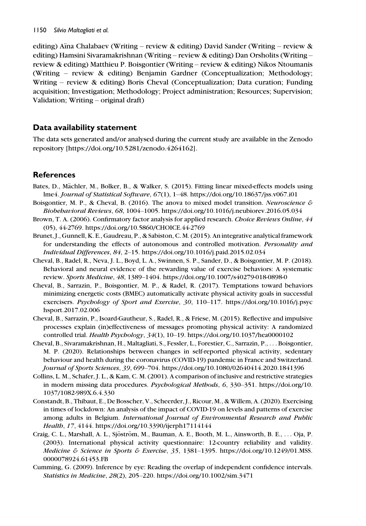editing) Aïna Chalabaev (Writing – review & editing) David Sander (Writing – review & editing) Hamsini Sivaramakrishnan (Writing – review & editing) Dan Orsholits (Writing – review & editing) Matthieu P. Boisgontier (Writing – review & editing) Nikos Ntoumanis (Writing – review & editing) Benjamin Gardner (Conceptualization; Methodology; Writing – review & editing) Boris Cheval (Conceptualization; Data curation; Funding acquisition; Investigation; Methodology; Project administration; Resources; Supervision; Validation; Writing – original draft)

## Data availability statement

The data sets generated and/or analysed during the current study are available in the Zenodo repository [\[https://doi.org/10.5281/zenodo.4264162\]](https://doi.org/10.5281/zenodo.4264162).

# **References**

- Bates, D., Mächler, M., Bolker, B., & Walker, S. (2015). Fitting linear mixed-effects models using lme4. Journal of Statistical Software, 67(1), 1–48.<https://doi.org/10.18637/jss.v067.i01>
- Boisgontier, M. P., & Cheval, B. (2016). The anova to mixed model transition. Neuroscience  $\mathcal E$ Biobehavioral Reviews, 68, 1004–1005.<https://doi.org/10.1016/j.neubiorev.2016.05.034>
- Brown, T. A. (2006). Confirmatory factor analysis for applied research. Choice Reviews Online, 44 (05), 44-2769.<https://doi.org/10.5860/CHOICE.44-2769>
- Brunet, J., Gunnell, K. E., Gaudreau, P., & Sabiston, C. M. (2015). An integrative analytical framework for understanding the effects of autonomous and controlled motivation. Personality and Individual Differences, 84, 2–15.<https://doi.org/10.1016/j.paid.2015.02.034>
- Cheval, B., Radel, R., Neva, J. L., Boyd, L. A., Swinnen, S. P., Sander, D., & Boisgontier, M. P. (2018). Behavioral and neural evidence of the rewarding value of exercise behaviors: A systematic review. Sports Medicine, 48, 1389–1404.<https://doi.org/10.1007/s40279-018-0898-0>
- Cheval, B., Sarrazin, P., Boisgontier, M. P., & Radel, R. (2017). Temptations toward behaviors minimizing energetic costs (BMEC) automatically activate physical activity goals in successful exercisers. Psychology of Sport and Exercise, 30, 110–117. [https://doi.org/10.1016/j.psyc](https://doi.org/10.1016/j.psychsport.2017.02.006) [hsport.2017.02.006](https://doi.org/10.1016/j.psychsport.2017.02.006)
- Cheval, B., Sarrazin, P., Isoard-Gautheur, S., Radel, R., & Friese, M. (2015). Reflective and impulsive processes explain (in)effectiveness of messages promoting physical activity: A randomized controlled trial. Health Psychology, 34(1), 10–19.<https://doi.org/10.1037/hea0000102>
- Cheval, B., Sivaramakrishnan, H., Maltagliati, S., Fessler, L., Forestier, C., Sarrazin, P., ... Boisgontier, M. P. (2020). Relationships between changes in self-reported physical activity, sedentary behaviour and health during the coronavirus (COVID-19) pandemic in France and Switzerland. Journal of Sports Sciences, 39, 699–704.<https://doi.org/10.1080/02640414.2020.1841396>
- Collins, L. M., Schafer, J. L., & Kam, C. M. (2001). A comparison of inclusive and restrictive strategies in modern missing data procedures. Psychological Methods, 6, 330–351. [https://doi.org/10.](https://doi.org/10.1037/1082-989X.6.4.330) [1037/1082-989X.6.4.330](https://doi.org/10.1037/1082-989X.6.4.330)
- Constandt, B., Thibaut, E., De Bosscher, V., Scheerder, J., Ricour, M., & Willem, A. (2020). Exercising in times of lockdown: An analysis of the impact of COVID-19 on levels and patterns of exercise among adults in Belgium. International Journal of Environmental Research and Public Health, 17, 4144.<https://doi.org/10.3390/ijerph17114144>
- Craig, C. L., Marshall, A. L., Sjöström, M., Bauman, A. E., Booth, M. L., Ainsworth, B. E., ... Oja, P. (2003). International physical activity questionnaire: 12-country reliability and validity. Medicine & Science in Sports & Exercise, 35, 1381-1395. [https://doi.org/10.1249/01.MSS.](https://doi.org/10.1249/01.MSS.0000078924.61453.FB) [0000078924.61453.FB](https://doi.org/10.1249/01.MSS.0000078924.61453.FB)
- Cumming, G. (2009). Inference by eye: Reading the overlap of independent confidence intervals. Statistics in Medicine, 28(2), 205–220.<https://doi.org/10.1002/sim.3471>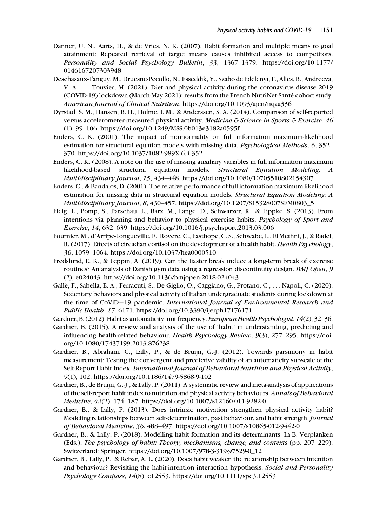- Danner, U. N., Aarts, H., & de Vries, N. K. (2007). Habit formation and multiple means to goal attainment: Repeated retrieval of target means causes inhibited access to competitors. Personality and Social Psychology Bulletin, 33, 1367–1379. [https://doi.org/10.1177/](https://doi.org/10.1177/0146167207303948) [0146167207303948](https://doi.org/10.1177/0146167207303948)
- Deschasaux-Tanguy, M., Druesne-Pecollo, N., Esseddik, Y., Szabo de Edelenyi, F., Alles, B., Andreeva, V. A., ... Touvier, M. (2021). Diet and physical activity during the coronavirus disease 2019 (COVID-19) lockdown (March-May 2021): results from the French NutriNet-Santé cohort study. American Journal of Clinical Nutrition.<https://doi.org/10.1093/ajcn/nqaa336>
- Dyrstad, S. M., Hansen, B. H., Holme, I. M., & Anderssen, S. A. (2014). Comparison of self-reported versus accelerometer-measured physical activity. Medicine & Science in Sports & Exercise, 46 (1), 99–106.<https://doi.org/10.1249/MSS.0b013e3182a0595f>
- Enders, C. K. (2001). The impact of nonnormality on full information maximum-likelihood estimation for structural equation models with missing data. Psychological Methods, 6, 352– 370.<https://doi.org/10.1037/1082-989X.6.4.352>
- Enders, C. K. (2008). A note on the use of missing auxiliary variables in full information maximum likelihood-based structural equation models. Structural Equation Modeling: A Multidisciplinary Journal, 15, 434–448.<https://doi.org/10.1080/10705510802154307>
- Enders, C., & Bandalos, D. (2001). The relative performance of full information maximum likelihood estimation for missing data in structural equation models. Structural Equation Modeling: A Multidisciplinary Journal, 8, 430–457. [https://doi.org/10.1207/S15328007SEM0803\\_5](https://doi.org/10.1207/S15328007SEM0803_5)
- Fleig, L., Pomp, S., Parschau, L., Barz, M., Lange, D., Schwarzer, R., & Lippke, S. (2013). From intentions via planning and behavior to physical exercise habits. Psychology of Sport and Exercise, 14, 632–639.<https://doi.org/10.1016/j.psychsport.2013.03.006>
- Fournier, M., d'Arripe-Longueville, F., Rovere, C., Easthope, C. S., Schwabe, L., El Methni, J., & Radel, R. (2017). Effects of circadian cortisol on the development of a health habit. Health Psychology, 36, 1059–1064.<https://doi.org/10.1037/hea0000510>
- Fredslund, E. K., & Leppin, A. (2019). Can the Easter break induce a long-term break of exercise routines? An analysis of Danish gym data using a regression discontinuity design. BMJ Open, 9 (2), e024043.<https://doi.org/10.1136/bmjopen-2018-024043>
- Galle, F., Sabella, E. A., Ferracuti, S., De Giglio, O., Caggiano, G., Protano, C., ... Napoli, C. (2020). Sedentary behaviors and physical activity of Italian undergraduate students during lockdown at the time of CoViD-19 pandemic. International Journal of Environmental Research and Public Health, 17, 6171.<https://doi.org/10.3390/ijerph17176171>
- Gardner, B. (2012). Habit as automaticity, not frequency. European Health Psychologist, 14(2), 32–36.
- Gardner, B. (2015). A review and analysis of the use of 'habit' in understanding, predicting and influencing health-related behaviour. Health Psychology Review, 9(3), 277–295. [https://doi.](https://doi.org/10.1080/17437199.2013.876238) [org/10.1080/17437199.2013.876238](https://doi.org/10.1080/17437199.2013.876238)
- Gardner, B., Abraham, C., Lally, P., & de Bruijn, G.-J. (2012). Towards parsimony in habit measurement: Testing the convergent and predictive validity of an automaticity subscale of the Self-Report Habit Index. International Journal of Behavioral Nutrition and Physical Activity, 9(1), 102.<https://doi.org/10.1186/1479-5868-9-102>
- Gardner, B., de Bruijn, G.-J., & Lally, P. (2011). A systematic review and meta-analysis of applications of the self-report habit index to nutrition and physical activity behaviours. Annals of Behavioral Medicine, 42(2), 174–187.<https://doi.org/10.1007/s12160-011-9282-0>
- Gardner, B., & Lally, P. (2013). Does intrinsic motivation strengthen physical activity habit? Modeling relationships between self-determination, past behaviour, and habit strength. Journal of Behavioral Medicine, 36, 488–497.<https://doi.org/10.1007/s10865-012-9442-0>
- Gardner, B., & Lally, P. (2018). Modelling habit formation and its determinants. In B. Verplanken (Eds.), The psychology of habit: Theory, mechanisms, change, and contexts (pp. 207–229). Switzerland: Springer. [https://doi.org/10.1007/978-3-319-97529-0\\_12](https://doi.org/10.1007/978-3-319-97529-0_12)
- Gardner, B., Lally, P., & Rebar, A. L. (2020). Does habit weaken the relationship between intention and behaviour? Revisiting the habit-intention interaction hypothesis. Social and Personality Psychology Compass, 14(8), e12553.<https://doi.org/10.1111/spc3.12553>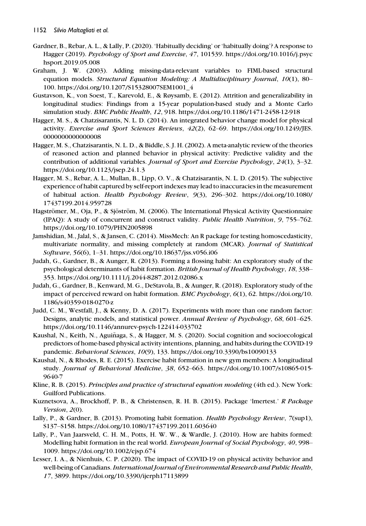- Gardner, B., Rebar, A. L., & Lally, P. (2020). 'Habitually deciding' or 'habitually doing'? A response to Hagger (2019). Psychology of Sport and Exercise, 47, 101539. [https://doi.org/10.1016/j.psyc](https://doi.org/10.1016/j.psychsport.2019.05.008) [hsport.2019.05.008](https://doi.org/10.1016/j.psychsport.2019.05.008)
- Graham, J. W. (2003). Adding missing-data-relevant variables to FIML-based structural equation models. Structural Equation Modeling: A Multidisciplinary Journal, 10(1), 80-100. [https://doi.org/10.1207/S15328007SEM1001\\_4](https://doi.org/10.1207/S15328007SEM1001_4)
- Gustavson, K., von Soest, T., Karevold, E., & Røysamb, E. (2012). Attrition and generalizability in longitudinal studies: Findings from a 15-year population-based study and a Monte Carlo simulation study. BMC Public Health, 12, 918.<https://doi.org/10.1186/1471-2458-12-918>
- Hagger, M. S., & Chatzisarantis, N. L. D. (2014). An integrated behavior change model for physical activity. Exercise and Sport Sciences Reviews, 42(2), 62–69. [https://doi.org/10.1249/JES.](https://doi.org/10.1249/JES.0000000000000008) [0000000000000008](https://doi.org/10.1249/JES.0000000000000008)
- Hagger, M. S., Chatzisarantis, N. L. D., & Biddle, S. J. H. (2002). A meta-analytic review of the theories of reasoned action and planned behavior in physical activity: Predictive validity and the contribution of additional variables. Journal of Sport and Exercise Psychology, 24(1), 3-32. <https://doi.org/10.1123/jsep.24.1.3>
- Hagger, M. S., Rebar, A. L., Mullan, B., Lipp, O. V., & Chatzisarantis, N. L. D. (2015). The subjective experience of habit captured by self-report indexes may lead to inaccuracies in the measurement of habitual action. Health Psychology Review, 9(3), 296–302. [https://doi.org/10.1080/](https://doi.org/10.1080/17437199.2014.959728) [17437199.2014.959728](https://doi.org/10.1080/17437199.2014.959728)
- Hagströmer, M., Oja, P., & Sjöström, M. (2006). The International Physical Activity Questionnaire (IPAQ): A study of concurrent and construct validity. Public Health Nutrition, 9, 755–762. <https://doi.org/10.1079/PHN2005898>
- Jamshidian, M., Jalal, S., & Jansen, C. (2014). MissMech: An R package for testing homoscedasticity, multivariate normality, and missing completely at random (MCAR). Journal of Statistical Software, 56(6), 1–31.<https://doi.org/10.18637/jss.v056.i06>
- Judah, G., Gardner, B., & Aunger, R. (2013). Forming a flossing habit: An exploratory study of the psychological determinants of habit formation. British Journal of Health Psychology, 18, 338-353.<https://doi.org/10.1111/j.2044-8287.2012.02086.x>
- Judah, G., Gardner, B., Kenward, M. G., DeStavola, B., & Aunger, R. (2018). Exploratory study of the impact of perceived reward on habit formation. BMC Psychology, 6(1), 62. [https://doi.org/10.](https://doi.org/10.1186/s40359-018-0270-z) [1186/s40359-018-0270-z](https://doi.org/10.1186/s40359-018-0270-z)
- Judd, C. M., Westfall, J., & Kenny, D. A. (2017). Experiments with more than one random factor: Designs, analytic models, and statistical power. Annual Review of Psychology, 68, 601–625. <https://doi.org/10.1146/annurev-psych-122414-033702>
- Kaushal, N., Keith, N., Aguinaga, S., & Hagger, M. S. (2020). Social cognition and socioecological ~ predictors of home-based physical activity intentions, planning, and habits during the COVID-19 pandemic. Behavioral Sciences, 10(9), 133.<https://doi.org/10.3390/bs10090133>
- Kaushal, N., & Rhodes, R. E. (2015). Exercise habit formation in new gym members: A longitudinal study. Journal of Behavioral Medicine, 38, 652–663. [https://doi.org/10.1007/s10865-015-](https://doi.org/10.1007/s10865-015-9640-7) [9640-7](https://doi.org/10.1007/s10865-015-9640-7)
- Kline, R. B. (2015). Principles and practice of structural equation modeling (4th ed.). New York: Guilford Publications.
- Kuznetsova, A., Brockhoff, P. B., & Christensen, R. H. B. (2015). Package 'lmertest.' R Package Version, 2(0).
- Lally, P., & Gardner, B. (2013). Promoting habit formation. Health Psychology Review, 7(sup1), S137–S158.<https://doi.org/10.1080/17437199.2011.603640>
- Lally, P., Van Jaarsveld, C. H. M., Potts, H. W. W., & Wardle, J. (2010). How are habits formed: Modelling habit formation in the real world. *European Journal of Social Psychology*, 40, 998– 1009.<https://doi.org/10.1002/ejsp.674>
- Lesser, I. A., & Nienhuis, C. P. (2020). The impact of COVID-19 on physical activity behavior and well-being of Canadians. International Journal of Environmental Research and Public Health, 17, 3899.<https://doi.org/10.3390/ijerph17113899>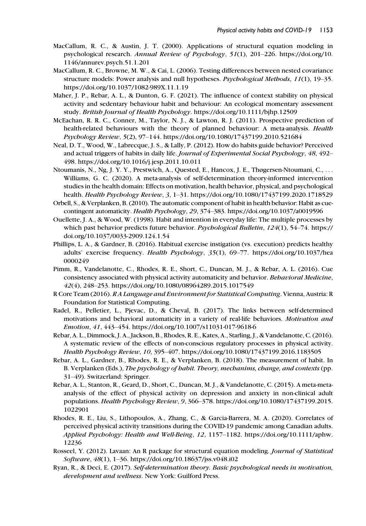- MacCallum, R. C., & Austin, J. T. (2000). Applications of structural equation modeling in psychological research. Annual Review of Psychology, 51(1), 201–226. [https://doi.org/10.](https://doi.org/10.1146/annurev.psych.51.1.201) [1146/annurev.psych.51.1.201](https://doi.org/10.1146/annurev.psych.51.1.201)
- MacCallum, R. C., Browne, M. W., & Cai, L. (2006). Testing differences between nested covariance structure models: Power analysis and null hypotheses. *Psychological Methods*, 11(1), 19–35. <https://doi.org/10.1037/1082-989X.11.1.19>
- Maher, J. P., Rebar, A. L., & Dunton, G. F. (2021). The influence of context stability on physical activity and sedentary behaviour habit and behaviour: An ecological momentary assessment study. British Journal of Health Psychology.<https://doi.org/10.1111/bjhp.12509>
- McEachan, R. R. C., Conner, M., Taylor, N. J., & Lawton, R. J. (2011). Prospective prediction of health-related behaviours with the theory of planned behaviour: A meta-analysis. Health Psychology Review, 5(2), 97–144.<https://doi.org/10.1080/17437199.2010.521684>
- Neal, D. T., Wood, W., Labrecque, J. S., & Lally, P. (2012). How do habits guide behavior? Perceived and actual triggers of habits in daily life. Journal of Experimental Social Psychology, 48, 492– 498.<https://doi.org/10.1016/j.jesp.2011.10.011>
- Ntoumanis, N., Ng, J. Y. Y., Prestwich, A., Quested, E., Hancox, J. E., Thøgersen-Ntoumani, C., ... Williams, G. C. (2020). A meta-analysis of self-determination theory-informed intervention studies in the health domain: Effects on motivation, health behavior, physical, and psychological health. Health Psychology Review, 3, 1–31.<https://doi.org/10.1080/17437199.2020.1718529>
- Orbell, S., & Verplanken, B. (2010). The automatic component of habit in health behavior: Habit as cuecontingent automaticity. Health Psychology, 29, 374–383.<https://doi.org/10.1037/a0019596>
- Ouellette, J. A., & Wood, W. (1998). Habit and intention in everyday life: The multiple processes by which past behavior predicts future behavior. *Psychological Bulletin*,  $124(1)$ ,  $54-74$ . [https://](https://doi.org/10.1037/0033-2909.124.1.54) [doi.org/10.1037/0033-2909.124.1.54](https://doi.org/10.1037/0033-2909.124.1.54)
- Phillips, L. A., & Gardner, B. (2016). Habitual exercise instigation (vs. execution) predicts healthy adults' exercise frequency. Health Psychology, 35(1), 69–77. [https://doi.org/10.1037/hea](https://doi.org/10.1037/hea0000249) [0000249](https://doi.org/10.1037/hea0000249)
- Pimm, R., Vandelanotte, C., Rhodes, R. E., Short, C., Duncan, M. J., & Rebar, A. L. (2016). Cue consistency associated with physical activity automaticity and behavior. Behavioral Medicine, 42(4), 248–253.<https://doi.org/10.1080/08964289.2015.1017549>
- R Core Team (2016). R A Language and Environment for Statistical Computing. Vienna, Austria: R Foundation for Statistical Computing.
- Radel, R., Pelletier, L., Pjevac, D., & Cheval, B. (2017). The links between self-determined motivations and behavioral automaticity in a variety of real-life behaviors. Motivation and Emotion, 41, 443–454.<https://doi.org/10.1007/s11031-017-9618-6>
- Rebar, A. L., Dimmock, J. A., Jackson, B., Rhodes, R. E., Kates, A., Starling, J., & Vandelanotte, C. (2016). A systematic review of the effects of non-conscious regulatory processes in physical activity. Health Psychology Review, 10, 395–407.<https://doi.org/10.1080/17437199.2016.1183505>
- Rebar, A. L., Gardner, B., Rhodes, R. E., & Verplanken, B. (2018). The measurement of habit. In B. Verplanken (Eds.), The psychology of habit. Theory, mechanims, change, and contexts (pp. 31–49). Switzerland: Springer.
- Rebar, A. L., Stanton, R., Geard, D., Short, C., Duncan, M. J., & Vandelanotte, C. (2015). A meta-metaanalysis of the effect of physical activity on depression and anxiety in non-clinical adult populations. Health Psychology Review, 9, 366–378. [https://doi.org/10.1080/17437199.2015.](https://doi.org/10.1080/17437199.2015.1022901) [1022901](https://doi.org/10.1080/17437199.2015.1022901)
- Rhodes, R. E., Liu, S., Lithopoulos, A., Zhang, C., & Garcia-Barrera, M. A. (2020). Correlates of perceived physical activity transitions during the COVID-19 pandemic among Canadian adults. Applied Psychology: Health and Well-Being, 12, 1157–1182. [https://doi.org/10.1111/aphw.](https://doi.org/10.1111/aphw.12236) [12236](https://doi.org/10.1111/aphw.12236)
- Rosseel, Y. (2012). Lavaan: An R package for structural equation modeling. Journal of Statistical Software, 48(1), 1–36.<https://doi.org/10.18637/jss.v048.i02>
- Ryan, R., & Deci, E. (2017). Self-determination theory. Basic psychological needs in motivation, development and wellness. New York: Guilford Press.